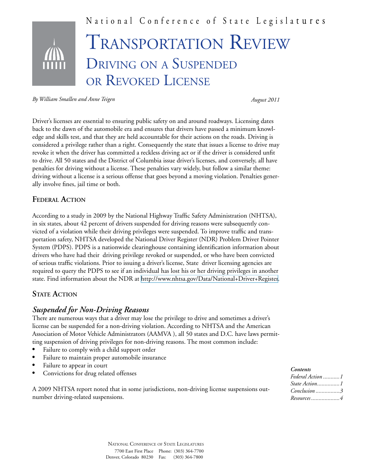

*By William Smallen and Anne Teigen*

*August 2011*

Driver's licenses are essential to ensuring public safety on and around roadways. Licensing dates back to the dawn of the automobile era and ensures that drivers have passed a minimum knowledge and skills test, and that they are held accountable for their actions on the roads. Driving is considered a privilege rather than a right. Consequently the state that issues a license to drive may revoke it when the driver has committed a reckless driving act or if the driver is considered unfit to drive. All 50 states and the District of Columbia issue driver's licenses, and conversely, all have penalties for driving without a license. These penalties vary widely, but follow a similar theme: driving without a license is a serious offense that goes beyond a moving violation. Penalties generally involve fines, jail time or both.

### **Federal Action**

According to a study in 2009 by the National Highway Traffic Safety Administration (NHTSA), in six states, about 42 percent of drivers suspended for driving reasons were subsequently convicted of a violation while their driving privileges were suspended. To improve traffic and transportation safety, NHTSA developed the National Driver Register (NDR) Problem Driver Pointer System (PDPS). PDPS is a nationwide clearinghouse containing identification information about drivers who have had their driving privilege revoked or suspended, or who have been convicted of serious traffic violations. Prior to issuing a driver's license, State driver licensing agencies are required to query the PDPS to see if an individual has lost his or her driving privileges in another state. Find information about the NDR at <http://www.nhtsa.gov/Data/National+Driver+Register>.

### **STATE ACTION**

# *Suspended for Non-Driving Reasons*

There are numerous ways that a driver may lose the privilege to drive and sometimes a driver's license can be suspended for a non-driving violation. According to NHTSA and the American Association of Motor Vehicle Administrators (AAMVA ), all 50 states and D.C. have laws permitting suspension of driving privileges for non-driving reasons. The most common include:

- Failure to comply with a child support order
- Failure to maintain proper automobile insurance
- Failure to appear in court
- Convictions for drug related offenses

A 2009 NHTSA report noted that in some jurisdictions, non-driving license suspensions outnumber driving-related suspensions.

#### *Contents*

| Federal Action 1      |  |
|-----------------------|--|
| <i>State Action</i> 1 |  |
| $Conclusion$ 3        |  |
| Resources 4           |  |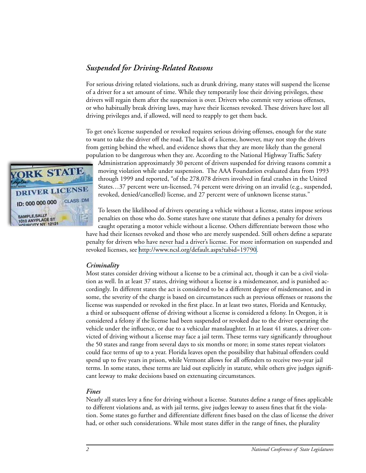## *Suspended for Driving-Related Reasons*

For serious driving related violations, such as drunk driving, many states will suspend the license of a driver for a set amount of time. While they temporarily lose their driving privileges, these drivers will regain them after the suspension is over. Drivers who commit very serious offenses, or who habitually break driving laws, may have their licenses revoked. These drivers have lost all driving privileges and, if allowed, will need to reapply to get them back.

To get one's license suspended or revoked requires serious driving offenses, enough for the state to want to take the driver off the road. The lack of a license, however, may not stop the drivers from getting behind the wheel, and evidence shows that they are more likely than the general population to be dangerous when they are. According to the National Highway Traffic Safety

Administration approximately 30 percent of drivers suspended for driving reasons commit a moving violation while under suspension. The AAA Foundation evaluated data from 1993 through 1999 and reported, "of the 278,078 drivers involved in fatal crashes in the United States…37 percent were un-licensed, 74 percent were driving on an invalid (e.g., suspended, revoked, denied/cancelled) license, and 27 percent were of unknown license status."

To lessen the likelihood of drivers operating a vehicle without a license, states impose serious penalties on those who do. Some states have one statute that defines a penalty for drivers caught operating a motor vehicle without a license. Others differentiate between those who

have had their licenses revoked and those who are merely suspended. Still others define a separate penalty for drivers who have never had a driver's license. For more information on suspended and revoked licenses, see <http://www.ncsl.org/default.aspx?tabid=19790>.

### *Criminality*

Most states consider driving without a license to be a criminal act, though it can be a civil violation as well. In at least 37 states, driving without a license is a misdemeanor, and is punished accordingly. In different states the act is considered to be a different degree of misdemeanor, and in some, the severity of the charge is based on circumstances such as previous offenses or reasons the license was suspended or revoked in the first place. In at least two states, Florida and Kentucky, a third or subsequent offense of driving without a license is considered a felony. In Oregon, it is considered a felony if the license had been suspended or revoked due to the driver operating the vehicle under the influence, or due to a vehicular manslaughter. In at least 41 states, a driver convicted of driving without a license may face a jail term. These terms vary significantly throughout the 50 states and range from several days to six months or more; in some states repeat violators could face terms of up to a year. Florida leaves open the possibility that habitual offenders could spend up to five years in prison, while Vermont allows for all offenders to receive two-year jail terms. In some states, these terms are laid out explicitly in statute, while others give judges significant leeway to make decisions based on extenuating circumstances.

#### *Fines*

Nearly all states levy a fine for driving without a license. Statutes define a range of fines applicable to different violations and, as with jail terms, give judges leeway to assess fines that fit the violation. Some states go further and differentiate different fines based on the class of license the driver had, or other such considerations. While most states differ in the range of fines, the plurality

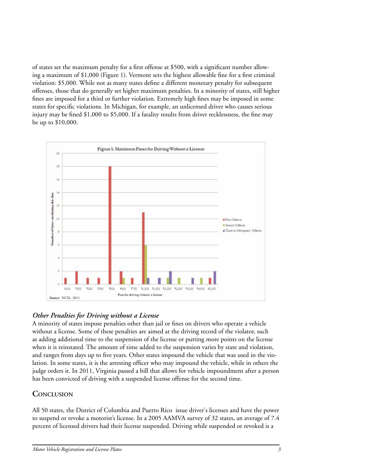of states set the maximum penalty for a first offense at \$500, with a significant number allowing a maximum of \$1,000 (Figure 1). Vermont sets the highest allowable fine for a first criminal violation: \$5,000. While not as many states define a different monetary penalty for subsequent offenses, those that do generally set higher maximum penalties. In a minority of states, still higher fines are imposed for a third or further violation. Extremely high fines may be imposed in some states for specific violations. In Michigan, for example, an unlicensed driver who causes serious injury may be fined \$1,000 to \$5,000. If a fatality results from driver recklessness, the fine may be up to \$10,000.



# *Other Penalties for Driving without a License*

A minority of states impose penalties other than jail or fines on drivers who operate a vehicle without a license. Some of these penalties are aimed at the driving record of the violator, such as adding additional time to the suspension of the license or putting more points on the license when it is reinstated. The amount of time added to the suspension varies by state and violation, and ranges from days up to five years. Other states impound the vehicle that was used in the violation. In some states, it is the arresting officer who may impound the vehicle, while in others the judge orders it. In 2011, Virginia passed a bill that allows for vehicle impoundment after a person has been convicted of driving with a suspended license offense for the second time.

# **CONCLUSION**

All 50 states, the District of Columbia and Puerto Rico issue driver's licenses and have the power to suspend or revoke a motorist's license. In a 2005 AAMVA survey of 32 states, an average of 7.4 percent of licensed drivers had their license suspended. Driving while suspended or revoked is a